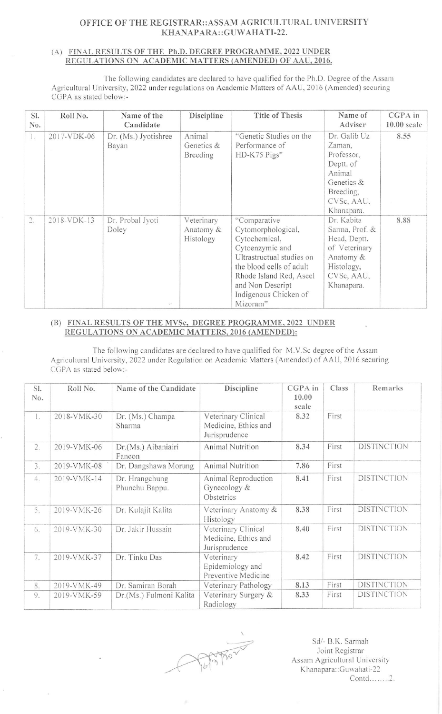## OFFICE OF THE REGISTRAR::ASSAM AGRICULTURAL UNIVERSITY KHANAPARA::GUWAHATI-22.

## (A) FINAL RESULTS OF THE Ph.D. DEGREE PROGRAMME, 2022 UNDER REGULATIONS ON ACADEMIC MATTERS (AMENDED) OF AAU, 2016.

The following candidates are declared to have qualified for the Ph.D. Degree of the Assam Agricultural University, 2022 under regulations on Academic Matters of AAU, 2016 (Amended) securing CGPA as stated below:-

| SI.<br>No. | Roll No.    | Name of the<br>Candidate            | Discipline                           | Title of Thesis                                                                                                                                                                                                     | Name of<br>Adviser                                                                                                   | CGPA in<br>$10.00$ scale |
|------------|-------------|-------------------------------------|--------------------------------------|---------------------------------------------------------------------------------------------------------------------------------------------------------------------------------------------------------------------|----------------------------------------------------------------------------------------------------------------------|--------------------------|
| 1.         | 2017-VDK-06 | Dr. (Ms.) Jyotishree<br>Bayan       | Animal<br>Genetics &<br>Breeding     | "Genetic Studies on the<br>Performance of<br>HD-K75 Pigs"                                                                                                                                                           | Dr. Galib Uz<br>Zaman,<br>Professor,<br>Deptt. of<br>Animal<br>Genetics &<br>Breeding,<br>CVSc, AAU,<br>Khanapara.   | 8.55                     |
| 2.         | 2018-VDK-13 | Dr. Probal Jyoti<br>Doley<br>$\sim$ | Veterinary<br>Anatomy &<br>Histology | "Comparative<br>Cytomorphological,<br>Cytochemical,<br>Cytoenzymic and<br>Ultrastructual studies on<br>the blood cells of adult<br>Rhode Island Red, Aseel<br>and Non Descript<br>Indigenous Chicken of<br>Mizoram" | Dr. Kabita<br>Sarma, Prof. &<br>Head, Deptt.<br>of Veterinary<br>Anatomy &<br>Histology,<br>CVSc, AAU,<br>Khanapara. | 8.88                     |

## (B) FINAL RESULTS OF THE MVSc, DEGREE PROGRAMME, 2022 UNDER REGULATIONS ON ACADEMIC MATTERS, 2016 (AMENDED):

The following candidates are declared to have qualified for M.V.Sc degree of the Assam Agricultural University, 2022 under Regulation on Academic Matters (Amended) of AAU, 2016 securing CGPA as stated below:-

| SI.<br>No. | Roll No.    | Name of the Candidate            | Discipline                                                   | CGPA in<br>10.00<br>scale | Class | Remarks            |
|------------|-------------|----------------------------------|--------------------------------------------------------------|---------------------------|-------|--------------------|
| L.         | 2018-VMK-30 | Dr. (Ms.) Champa<br>Sharma       | Veterinary Clinical<br>Medicine, Ethics and<br>Jurisprudence | 8.32                      | First |                    |
| 2.         | 2019-VMK-06 | Dr.(Ms.) Aibaniairi<br>Fancon    | <b>Animal Nutrition</b>                                      | 8.34                      | First | <b>DISTINCTION</b> |
| 3.         | 2019-VMK-08 | Dr. Dangshawa Morung             | Animal Nutrition                                             | 7.86                      | First |                    |
| 4.         | 2019-VMK-14 | Dr. Hrangchung<br>Phunchu Bappu. | Animal Reproduction<br>Gynecology &<br>Obstetrics            | 8.41                      | First | <b>DISTINCTION</b> |
| 5.         | 2019-VMK-26 | Dr. Kulajit Kalita               | Veterinary Anatomy &<br>Histology                            | 8.38                      | First | <b>DISTINCTION</b> |
| 6.         | 2019-VMK-30 | Dr. Jakir Hussain                | Veterinary Clinical<br>Medicine, Ethics and<br>Jurisprudence | 8.40                      | First | <b>DISTINCTION</b> |
| 7.         | 2019-VMK-37 | Dr. Tinku Das                    | Veterinary<br>Epidemiology and<br>Preventive Medicine        | 8.42                      | First | <b>DISTINCTION</b> |
| 8.         | 2019-VMK-49 | Dr. Samiran Borah                | Veterinary Pathology                                         | 8.13                      | First | <b>DISTINCTION</b> |
| 9.         | 2019-VMK-59 | Dr.(Ms.) Fulmoni Kalita          | Veterinary Surgery &<br>Radiology                            | 8.33                      | First | <b>DISTINCTION</b> |

Postar

Sd/- B.K. Sarmah Joint Registrar Assam Agricultural University Khanapara::Guwahati-22 Contd........2.